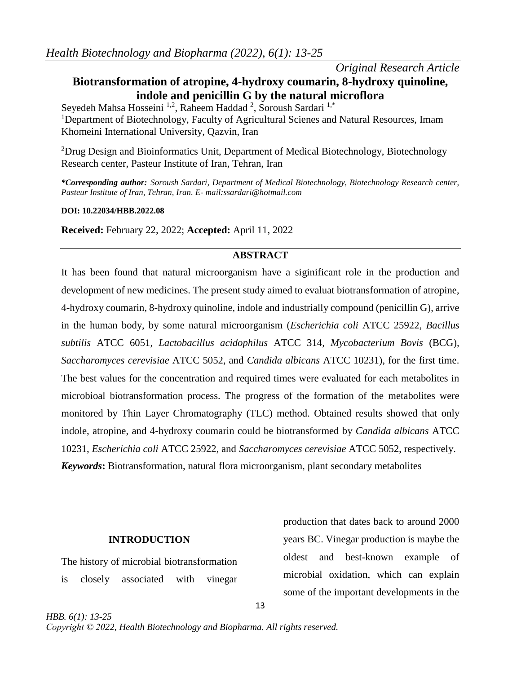# *Original Research Article*

# **Biotransformation of atropine, 4-hydroxy coumarin, 8-hydroxy quinoline, indole and penicillin G by the natural microflora**

Seyedeh Mahsa Hosseini <sup>1,2</sup>, Raheem Haddad <sup>2</sup>, Soroush Sardari <sup>1,\*</sup> <sup>1</sup>Department of Biotechnology, Faculty of Agricultural Scienes and Natural Resources, Imam Khomeini International University, Qazvin, Iran

<sup>2</sup>Drug Design and Bioinformatics Unit, Department of Medical Biotechnology, Biotechnology Research center, Pasteur Institute of Iran, Tehran, Iran

*\*Corresponding author: Soroush Sardari, Department of Medical Biotechnology, Biotechnology Research center, Pasteur Institute of Iran, Tehran, Iran. E- mail:ssardari@hotmail.com*

**DOI: 10.22034/HBB.2022.08**

**Received:** February 22, 2022; **Accepted:** April 11, 2022

### **ABSTRACT**

It has been found that natural microorganism have a siginificant role in the production and development of new medicines. The present study aimed to evaluat biotransformation of atropine, 4-hydroxy coumarin, 8-hydroxy quinoline, indole and industrially compound (penicillin G), arrive in the human body, by some natural microorganism (*Escherichia coli* ATCC 25922*, Bacillus subtilis* ATCC 6051*, Lactobacillus acidophilus* ATCC 314*, Mycobacterium Bovis* (BCG)*, Saccharomyces cerevisiae* ATCC 5052, and *Candida albicans* ATCC 10231), for the first time. The best values for the concentration and required times were evaluated for each metabolites in microbioal biotransformation process. The progress of the formation of the metabolites were monitored by Thin Layer Chromatography (TLC) method. Obtained results showed that only indole, atropine, and 4-hydroxy coumarin could be biotransformed by *Candida albicans* ATCC 10231, *Escherichia coli* ATCC 25922, and *Saccharomyces cerevisiae* ATCC 5052, respectively. *Keywords***:** Biotransformation, natural flora microorganism, plant secondary metabolites

#### **INTRODUCTION**

The history of microbial biotransformation is closely associated with vinegar

production that dates back to around 2000 years BC. Vinegar production is maybe the oldest and best-known example of microbial oxidation, which can explain some of the important developments in the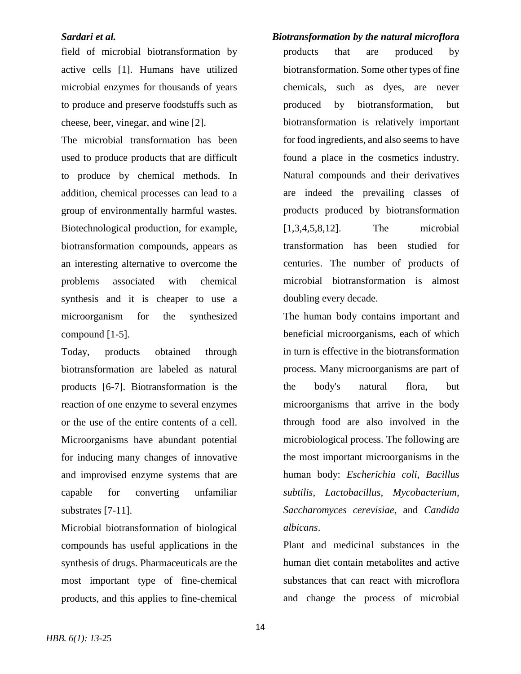field of microbial biotransformation by active cells [1]. Humans have utilized microbial enzymes for thousands of years to produce and preserve foodstuffs such as cheese, beer, vinegar, and wine [2].

The microbial transformation has been used to produce products that are difficult to produce by chemical methods. In addition, chemical processes can lead to a group of environmentally harmful wastes. Biotechnological production, for example, biotransformation compounds, appears as an interesting alternative to overcome the problems associated with chemical synthesis and it is cheaper to use a microorganism for the synthesized compound [1-5].

Today, products obtained through biotransformation are labeled as natural products [6-7]. Biotransformation is the reaction of one enzyme to several enzymes or the use of the entire contents of a cell. Microorganisms have abundant potential for inducing many changes of innovative and improvised enzyme systems that are capable for converting unfamiliar substrates [7-11].

Microbial biotransformation of biological compounds has useful applications in the synthesis of drugs. Pharmaceuticals are the most important type of fine-chemical products, and this applies to fine-chemical

*Sardari et al. Biotransformation by the natural microflora* products that are produced by biotransformation. Some other types of fine chemicals, such as dyes, are never produced by biotransformation, but biotransformation is relatively important for food ingredients, and also seems to have found a place in the cosmetics industry. Natural compounds and their derivatives are indeed the prevailing classes of products produced by biotransformation [1,3,4,5,8,12]. The microbial transformation has been studied for centuries. The number of products of microbial biotransformation is almost doubling every decade.

> The human body contains important and beneficial microorganisms, each of which in turn is effective in the biotransformation process. Many microorganisms are part of the body's natural flora, but microorganisms that arrive in the body through food are also involved in the microbiological process. The following are the most important microorganisms in the human body: *Escherichia coli*, *Bacillus subtilis*, *Lactobacillus*, *Mycobacterium*, *Saccharomyces cerevisiae*, and *Candida albicans*.

> Plant and medicinal substances in the human diet contain metabolites and active substances that can react with microflora and change the process of microbial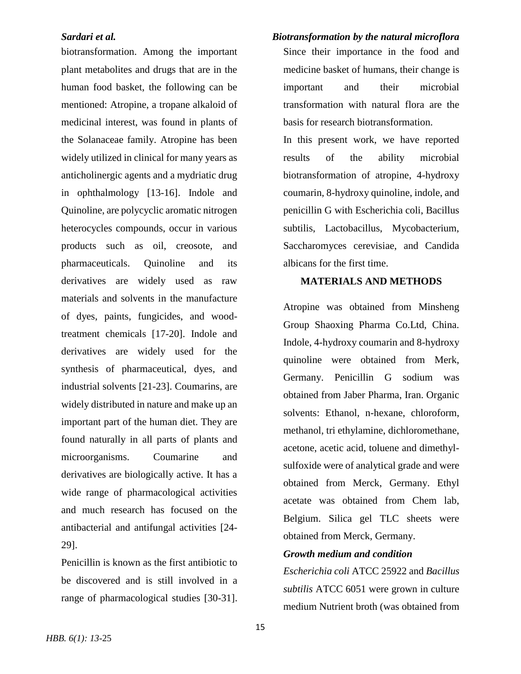biotransformation. Among the important plant metabolites and drugs that are in the human food basket, the following can be mentioned: Atropine, a tropane alkaloid of medicinal interest, was found in plants of the Solanaceae family. Atropine has been widely utilized in clinical for many years as anticholinergic agents and a mydriatic drug in ophthalmology [13-16]. Indole and Quinoline, are polycyclic aromatic nitrogen heterocycles compounds, occur in various products such as oil, creosote, and pharmaceuticals. Quinoline and its derivatives are widely used as raw materials and solvents in the manufacture of dyes, paints, fungicides, and woodtreatment chemicals [17-20]. Indole and derivatives are widely used for the synthesis of pharmaceutical, dyes, and industrial solvents [21-23]. Coumarins, are widely distributed in nature and make up an important part of the human diet. They are found naturally in all parts of plants and microorganisms. Coumarine and derivatives are biologically active. It has a wide range of pharmacological activities and much research has focused on the antibacterial and antifungal activities [24- 29].

Penicillin is known as the first antibiotic to be discovered and is still involved in a range of pharmacological studies [30-31].

### *Sardari et al. Biotransformation by the natural microflora*

Since their importance in the food and medicine basket of humans, their change is important and their microbial transformation with natural flora are the basis for research biotransformation.

In this present work, we have reported results of the ability microbial biotransformation of atropine, 4-hydroxy coumarin, 8-hydroxy quinoline, indole, and penicillin G with Escherichia coli, Bacillus subtilis, Lactobacillus, Mycobacterium, Saccharomyces cerevisiae, and Candida albicans for the first time.

### **MATERIALS AND METHODS**

Atropine was obtained from Minsheng Group Shaoxing Pharma Co.Ltd, China. Indole, 4-hydroxy coumarin and 8-hydroxy quinoline were obtained from Merk, Germany. Penicillin G sodium was obtained from Jaber Pharma, Iran. Organic solvents: Ethanol, n-hexane, chloroform, methanol, tri ethylamine, dichloromethane, acetone, acetic acid, toluene and dimethylsulfoxide were of analytical grade and were obtained from Merck, Germany. Ethyl acetate was obtained from Chem lab, Belgium. Silica gel TLC sheets were obtained from Merck, Germany.

### *Growth medium and condition*

*Escherichia coli* ATCC 25922 and *Bacillus subtilis* ATCC 6051 were grown in culture medium Nutrient broth (was obtained from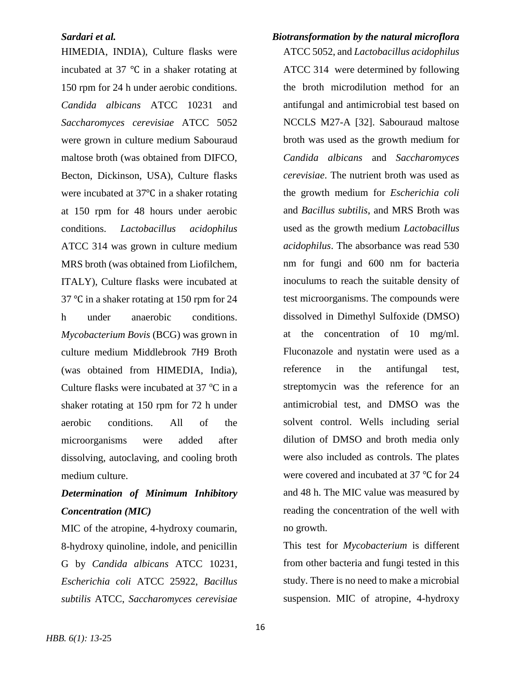HIMEDIA, INDIA), Culture flasks were incubated at 37 ℃ in a shaker rotating at 150 rpm for 24 h under aerobic conditions. *Candida albicans* ATCC 10231 and *Saccharomyces cerevisiae* ATCC 5052 were grown in culture medium Sabouraud maltose broth (was obtained from DIFCO, Becton, Dickinson, USA), Culture flasks were incubated at 37℃ in a shaker rotating at 150 rpm for 48 hours under aerobic conditions. *Lactobacillus acidophilus* ATCC 314 was grown in culture medium MRS broth (was obtained from Liofilchem, ITALY), Culture flasks were incubated at 37 ℃ in a shaker rotating at 150 rpm for 24 h under anaerobic conditions. *Mycobacterium Bovis* (BCG) was grown in culture medium Middlebrook 7H9 Broth (was obtained from HIMEDIA, India), Culture flasks were incubated at  $37^{\circ}$ C in a shaker rotating at 150 rpm for 72 h under aerobic conditions. All of the microorganisms were added after dissolving, autoclaving, and cooling broth medium culture.

# *Determination of Minimum Inhibitory Concentration (MIC)*

MIC of the atropine, 4-hydroxy coumarin, 8-hydroxy quinoline, indole, and penicillin G by *Candida albicans* ATCC 10231, *Escherichia coli* ATCC 25922, *Bacillus subtilis* ATCC, *Saccharomyces cerevisiae*

# *Sardari et al. Biotransformation by the natural microflora*

ATCC 5052, and *Lactobacillus acidophilus* ATCC 314 were determined by following the broth microdilution method for an antifungal and antimicrobial test based on NCCLS M27-A [32]. Sabouraud maltose broth was used as the growth medium for *Candida albicans* and *Saccharomyces cerevisiae*. The nutrient broth was used as the growth medium for *Escherichia coli* and *Bacillus subtilis*, and MRS Broth was used as the growth medium *Lactobacillus acidophilus*. The absorbance was read 530 nm for fungi and 600 nm for bacteria inoculums to reach the suitable density of test microorganisms. The compounds were dissolved in Dimethyl Sulfoxide (DMSO) at the concentration of 10 mg/ml. Fluconazole and nystatin were used as a reference in the antifungal test, streptomycin was the reference for an antimicrobial test, and DMSO was the solvent control. Wells including serial dilution of DMSO and broth media only were also included as controls. The plates were covered and incubated at 37 ℃ for 24 and 48 h. The MIC value was measured by reading the concentration of the well with no growth.

This test for *Mycobacterium* is different from other bacteria and fungi tested in this study. There is no need to make a microbial suspension. MIC of atropine, 4-hydroxy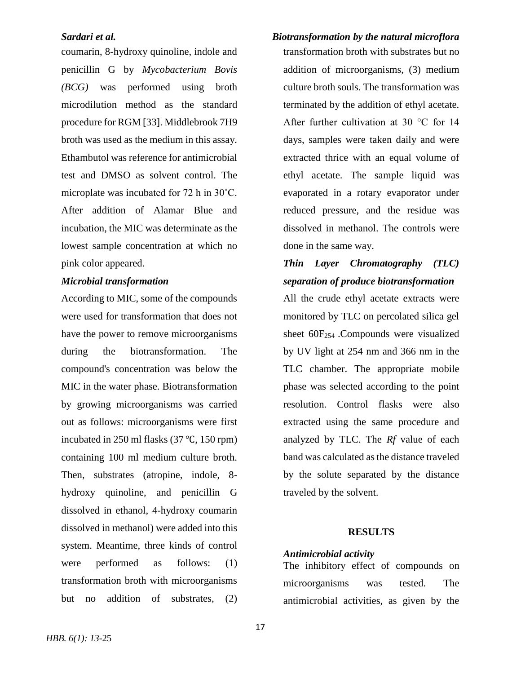coumarin, 8-hydroxy quinoline, indole and penicillin G by *Mycobacterium Bovis (BCG)* was performed using broth microdilution method as the standard procedure for RGM [33]. Middlebrook 7H9 broth was used as the medium in this assay. Ethambutol was reference for antimicrobial test and DMSO as solvent control. The microplate was incubated for 72 h in 30˚C. After addition of Alamar Blue and incubation, the MIC was determinate as the lowest sample concentration at which no pink color appeared.

### *Microbial transformation*

According to MIC, some of the compounds were used for transformation that does not have the power to remove microorganisms during the biotransformation. The compound's concentration was below the MIC in the water phase. Biotransformation by growing microorganisms was carried out as follows: microorganisms were first incubated in 250 ml flasks (37 ℃, 150 rpm) containing 100 ml medium culture broth. Then, substrates (atropine, indole, 8 hydroxy quinoline, and penicillin G dissolved in ethanol, 4-hydroxy coumarin dissolved in methanol) were added into this system. Meantime, three kinds of control were performed as follows: (1) transformation broth with microorganisms but no addition of substrates, (2)

*Sardari et al. Biotransformation by the natural microflora* transformation broth with substrates but no addition of microorganisms, (3) medium culture broth souls. The transformation was terminated by the addition of ethyl acetate. After further cultivation at 30 °C for 14 days, samples were taken daily and were extracted thrice with an equal volume of ethyl acetate. The sample liquid was evaporated in a rotary evaporator under reduced pressure, and the residue was dissolved in methanol. The controls were done in the same way.

# *Thin Layer Chromatography (TLC) separation of produce biotransformation*

All the crude ethyl acetate extracts were monitored by TLC on percolated silica gel sheet  $60F_{254}$ . Compounds were visualized by UV light at 254 nm and 366 nm in the TLC chamber. The appropriate mobile phase was selected according to the point resolution. Control flasks were also extracted using the same procedure and analyzed by TLC. The *Rf* value of each band was calculated as the distance traveled by the solute separated by the distance traveled by the solvent.

#### **RESULTS**

### *Antimicrobial activity*

The inhibitory effect of compounds on microorganisms was tested. The antimicrobial activities, as given by the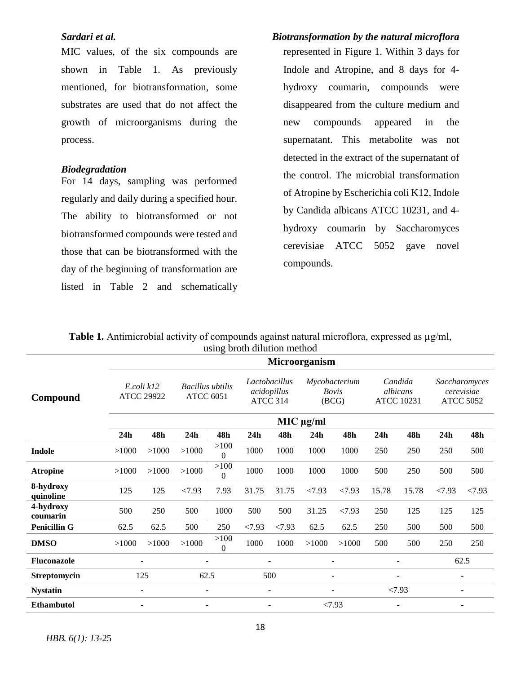### *Sardari et al. Biotransformation by the natural microflora*

MIC values, of the six compounds are shown in Table 1. As previously mentioned, for biotransformation, some substrates are used that do not affect the growth of microorganisms during the process.

#### *Biodegradation*

For 14 days, sampling was performed regularly and daily during a specified hour. The ability to biotransformed or not biotransformed compounds were tested and those that can be biotransformed with the day of the beginning of transformation are listed in Table 2 and schematically

# represented in Figure 1. Within 3 days for Indole and Atropine, and 8 days for 4 hydroxy coumarin, compounds were disappeared from the culture medium and new compounds appeared in the supernatant. This metabolite was not detected in the extract of the supernatant of the control. The microbial transformation of Atropine by Escherichia coli K12, Indole by Candida albicans ATCC 10231, and 4 hydroxy coumarin by Saccharomyces cerevisiae ATCC 5052 gave novel compounds.

|                        |                                 |                          |                                             |                        | using prour ununun memou                 |                          |                                        |                |                                          |                |                                                 |                   |
|------------------------|---------------------------------|--------------------------|---------------------------------------------|------------------------|------------------------------------------|--------------------------|----------------------------------------|----------------|------------------------------------------|----------------|-------------------------------------------------|-------------------|
|                        | <b>Microorganism</b>            |                          |                                             |                        |                                          |                          |                                        |                |                                          |                |                                                 |                   |
| Compound               | E.coli k12<br><b>ATCC 29922</b> |                          | <b>Bacillus</b> ubtilis<br><b>ATCC 6051</b> |                        | Lactobacillus<br>acidopillus<br>ATCC 314 |                          | Mycobacterium<br><b>Bovis</b><br>(BCG) |                | Candida<br>albicans<br><b>ATCC 10231</b> |                | Saccharomyces<br>cerevisiae<br><b>ATCC 5052</b> |                   |
|                        | $MIC$ $\mu$ g/ml                |                          |                                             |                        |                                          |                          |                                        |                |                                          |                |                                                 |                   |
|                        | 24h                             | 48h                      | 24h                                         | 48h                    | 24h                                      | 48h                      | 24h                                    | 48h            | 24 <sub>h</sub>                          | 48h            | 24h                                             | 48h               |
| <b>Indole</b>          | >1000                           | >1000                    | >1000                                       | >100<br>$\overline{0}$ | 1000                                     | 1000                     | 1000                                   | 1000           | 250                                      | 250            | 250                                             | 500               |
| <b>Atropine</b>        | >1000                           | >1000                    | >1000                                       | >100<br>$\overline{0}$ | 1000                                     | 1000                     | 1000                                   | 1000           | 500                                      | 250            | 500                                             | 500               |
| 8-hydroxy<br>quinoline | 125                             | 125                      | < 7.93                                      | 7.93                   | 31.75                                    | 31.75                    | < 7.93                                 | < 7.93         | 15.78                                    | 15.78          | < 7.93                                          | < 7.93            |
| 4-hydroxy<br>coumarin  | 500                             | 250                      | 500                                         | 1000                   | 500                                      | 500                      | 31.25                                  | < 7.93         | 250                                      | 125            | 125                                             | 125               |
| <b>Penicillin G</b>    | 62.5                            | 62.5                     | 500                                         | 250                    | < 7.93                                   | < 7.93                   | 62.5                                   | 62.5           | 250                                      | 500            | 500                                             | 500               |
| <b>DMSO</b>            | >1000                           | >1000                    | >1000                                       | >100<br>$\overline{0}$ | 1000                                     | 1000                     | >1000                                  | >1000          | 500                                      | 500            | 250                                             | 250               |
| <b>Fluconazole</b>     |                                 | ÷                        |                                             |                        |                                          | $\blacksquare$           |                                        | $\blacksquare$ |                                          | $\equiv$       |                                                 | 62.5              |
| Streptomycin           |                                 | 125                      | 62.5                                        |                        |                                          | 500                      |                                        | -              |                                          | $\overline{a}$ |                                                 | $\qquad \qquad -$ |
| <b>Nystatin</b>        |                                 | $\overline{\phantom{a}}$ | $\qquad \qquad -$                           |                        |                                          | $\overline{\phantom{0}}$ |                                        |                |                                          | < 7.93         |                                                 | $\qquad \qquad -$ |
| <b>Ethambutol</b>      |                                 | $\overline{\phantom{a}}$ | $\qquad \qquad -$                           |                        |                                          | $\overline{\phantom{a}}$ |                                        | < 7.93         |                                          | -              |                                                 | $\qquad \qquad -$ |
|                        |                                 |                          |                                             |                        |                                          |                          |                                        |                |                                          |                |                                                 |                   |

**Table 1.** Antimicrobial activity of compounds against natural microflora, expressed as  $\mu$ g/ml, using broth dilution method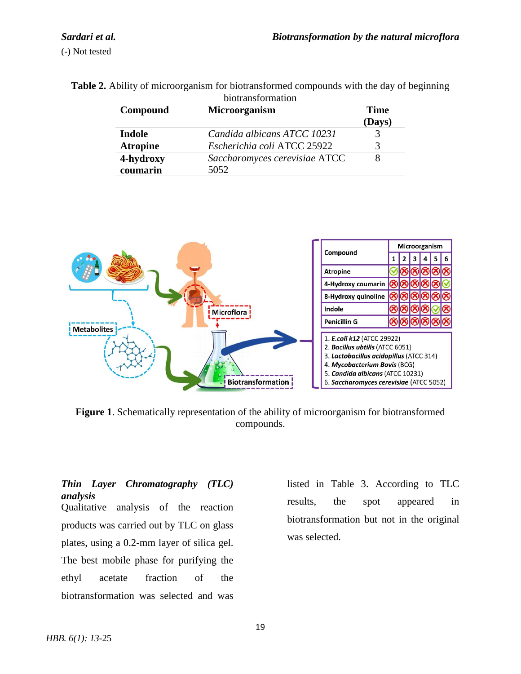| biotransformation |                               |        |  |  |
|-------------------|-------------------------------|--------|--|--|
| Compound          | Microorganism                 | Time   |  |  |
|                   |                               | (Days) |  |  |
| <b>Indole</b>     | Candida albicans ATCC 10231   |        |  |  |
| <b>Atropine</b>   | Escherichia coli ATCC 25922   |        |  |  |
| 4-hydroxy         | Saccharomyces cerevisiae ATCC |        |  |  |
| coumarin          | 5052                          |        |  |  |

**Table 2.** Ability of microorganism for biotransformed compounds with the day of beginning



**Figure 1**. Schematically representation of the ability of microorganism for biotransformed compounds.

### *Thin Layer Chromatography (TLC) analysis*

Qualitative analysis of the reaction products was carried out by TLC on glass plates, using a 0.2-mm layer of silica gel. The best mobile phase for purifying the ethyl acetate fraction of the biotransformation was selected and was listed in Table 3. According to TLC results, the spot appeared in biotransformation but not in the original was selected.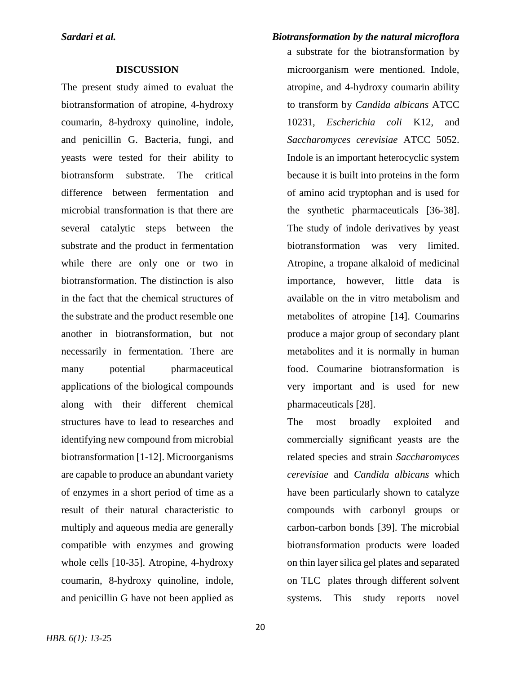#### **DISCUSSION**

The present study aimed to evaluat the biotransformation of atropine, 4-hydroxy coumarin, 8-hydroxy quinoline, indole, and penicillin G. Bacteria, fungi, and yeasts were tested for their ability to biotransform substrate. The critical difference between fermentation and microbial transformation is that there are several catalytic steps between the substrate and the product in fermentation while there are only one or two in biotransformation. The distinction is also in the fact that the chemical structures of the substrate and the product resemble one another in biotransformation, but not necessarily in fermentation. There are many potential pharmaceutical applications of the biological compounds along with their different chemical structures have to lead to researches and identifying new compound from microbial biotransformation [1-12]. Microorganisms are capable to produce an abundant variety of enzymes in a short period of time as a result of their natural characteristic to multiply and aqueous media are generally compatible with enzymes and growing whole cells [10-35]. Atropine, 4-hydroxy coumarin, 8-hydroxy quinoline, indole, and penicillin G have not been applied as

a substrate for the biotransformation by microorganism were mentioned. Indole, atropine, and 4-hydroxy coumarin ability to transform by *Candida albicans* ATCC 10231, *Escherichia coli* K12, and *Saccharomyces cerevisiae* ATCC 5052. Indole is an important heterocyclic system because it is built into proteins in the form of amino acid tryptophan and is used for the synthetic pharmaceuticals [36-38]. The study of indole derivatives by yeast biotransformation was very limited. Atropine, a tropane alkaloid of medicinal importance, however, little data is available on the in vitro metabolism and metabolites of atropine [14]. Coumarins produce a major group of secondary plant metabolites and it is normally in human food. Coumarine biotransformation is very important and is used for new pharmaceuticals [28].

The most broadly exploited and commercially significant yeasts are the related species and strain *Saccharomyces cerevisiae* and *Candida albicans* which have been particularly shown to catalyze compounds with carbonyl groups or carbon-carbon bonds [39]. The microbial biotransformation products were loaded on thin layer silica gel plates and separated on TLC plates through different solvent systems. This study reports novel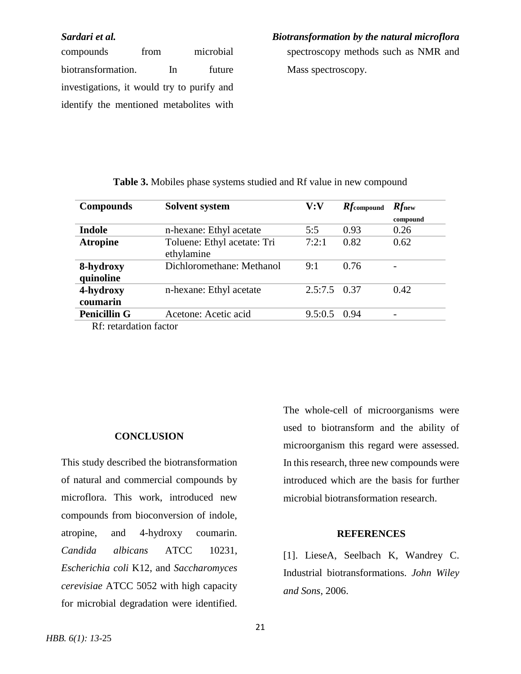compounds from microbial biotransformation. In future investigations, it would try to purify and identify the mentioned metabolites with

*Sardari et al. Biotransformation by the natural microflora*

spectroscopy methods such as NMR and Mass spectroscopy.

| <b>Compounds</b>       | <b>Solvent system</b>                     | V:V            | $Rf$ compound | $Rf_{\text{new}}$ |
|------------------------|-------------------------------------------|----------------|---------------|-------------------|
|                        |                                           |                |               | compound          |
| Indole                 | n-hexane: Ethyl acetate                   | 5:5            | 0.93          | 0.26              |
| <b>Atropine</b>        | Toluene: Ethyl acetate: Tri<br>ethylamine | 7:2:1          | 0.82          | 0.62              |
| 8-hydroxy<br>quinoline | Dichloromethane: Methanol                 | 9:1            | 0.76          |                   |
| 4-hydroxy<br>coumarin  | n-hexane: Ethyl acetate                   | $2.5:7.5$ 0.37 |               | 0.42              |
| <b>Penicillin G</b>    | Acetone: Acetic acid                      | 9.5:0.5        | 0.94          |                   |
| Rf: retardation factor |                                           |                |               |                   |

### **Table 3.** Mobiles phase systems studied and Rf value in new compound

#### **CONCLUSION**

This study described the biotransformation of natural and commercial compounds by microflora. This work, introduced new compounds from bioconversion of indole, atropine, and 4-hydroxy coumarin. *Candida albicans* ATCC 10231, *Escherichia coli* K12, and *Saccharomyces cerevisiae* ATCC 5052 with high capacity for microbial degradation were identified. The whole-cell of microorganisms were used to biotransform and the ability of microorganism this regard were assessed. In this research, three new compounds were introduced which are the basis for further microbial biotransformation research.

### **REFERENCES**

[1]. LieseA, Seelbach K, Wandrey C. Industrial biotransformations. *John Wiley and Sons*, 2006.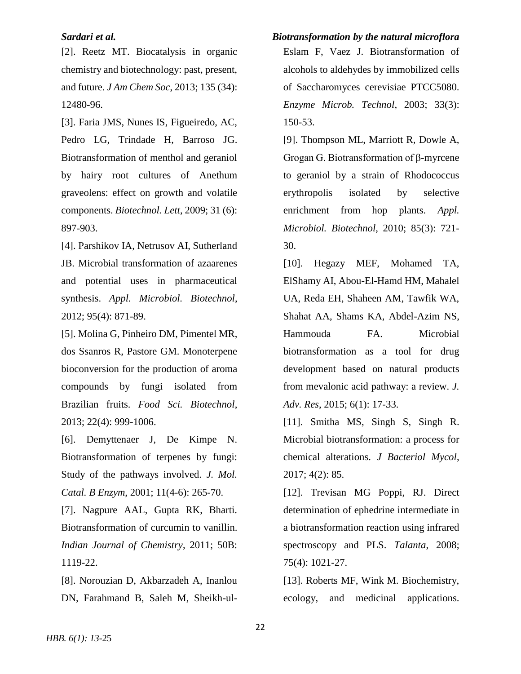[2]. Reetz MT. Biocatalysis in organic chemistry and biotechnology: past, present, and future. *J Am Chem Soc*, 2013; 135 (34): 12480-96.

[3]. Faria JMS, Nunes IS, Figueiredo, AC, Pedro LG, Trindade H, Barroso JG. Biotransformation of menthol and geraniol by hairy root cultures of Anethum graveolens: effect on growth and volatile components. *Biotechnol. Lett*, 2009; 31 (6): 897-903.

[4]. Parshikov IA, Netrusov AI, Sutherland JB. Microbial transformation of azaarenes and potential uses in pharmaceutical synthesis. *Appl. Microbiol. Biotechnol*, 2012; 95(4): 871-89.

[5]. Molina G, Pinheiro DM, Pimentel MR, dos Ssanros R, Pastore GM. Monoterpene bioconversion for the production of aroma compounds by fungi isolated from Brazilian fruits. *Food Sci. Biotechnol*, 2013; 22(4): 999-1006.

[6]. Demyttenaer J, De Kimpe N. Biotransformation of terpenes by fungi: Study of the pathways involved. *J. Mol. Catal. B Enzym*, 2001; 11(4-6): 265-70.

[7]. Nagpure AAL, Gupta RK, Bharti. Biotransformation of curcumin to vanillin. *Indian Journal of Chemistry*, 2011; 50B: 1119-22.

[8]. Norouzian D, Akbarzadeh A, Inanlou DN, Farahmand B, Saleh M, Sheikh-ul-

# *Sardari et al. Biotransformation by the natural microflora*

Eslam F, Vaez J. Biotransformation of alcohols to aldehydes by immobilized cells of Saccharomyces cerevisiae PTCC5080. *Enzyme Microb. Technol*, 2003; 33(3): 150-53.

[9]. Thompson ML, Marriott R, Dowle A, Grogan G. Biotransformation of β-myrcene to geraniol by a strain of Rhodococcus erythropolis isolated by selective enrichment from hop plants. *Appl. Microbiol. Biotechnol*, 2010; 85(3): 721- 30.

[10]. Hegazy MEF, Mohamed TA, ElShamy AI, Abou-El-Hamd HM, Mahalel UA, Reda EH, Shaheen AM, Tawfik WA, Shahat AA, Shams KA, Abdel-Azim NS, Hammouda FA. Microbial biotransformation as a tool for drug development based on natural products from mevalonic acid pathway: a review. *J. Adv. Res*, 2015; 6(1): 17-33.

[11]. Smitha MS, Singh S, Singh R. Microbial biotransformation: a process for chemical alterations. *J Bacteriol Mycol*, 2017; 4(2): 85.

[12]. Trevisan MG Poppi, RJ. Direct determination of ephedrine intermediate in a biotransformation reaction using infrared spectroscopy and PLS. *Talanta*, 2008; 75(4): 1021-27.

[13]. Roberts MF, Wink M. Biochemistry, ecology, and medicinal applications.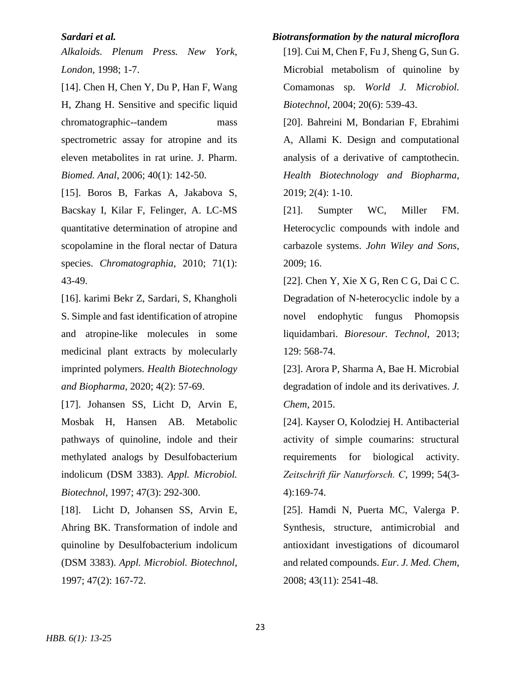*Alkaloids. Plenum Press. New York, London*, 1998; 1-7.

[14]. Chen H, Chen Y, Du P, Han F, Wang H, Zhang H. Sensitive and specific liquid chromatographic--tandem mass spectrometric assay for atropine and its eleven metabolites in rat urine. J. Pharm. *Biomed. Anal*, 2006; 40(1): 142-50.

[15]. Boros B, Farkas A, Jakabova S, Bacskay I, Kilar F, Felinger, A. LC-MS quantitative determination of atropine and scopolamine in the floral nectar of Datura species. *Chromatographia*, 2010; 71(1): 43-49.

[16]. karimi Bekr Z, Sardari, S, Khangholi S. Simple and fast identification of atropine and atropine-like molecules in some medicinal plant extracts by molecularly imprinted polymers. *Health Biotechnology and Biopharma*, 2020; 4(2): 57-69.

[17]. Johansen SS, Licht D, Arvin E, Mosbak H, Hansen AB. Metabolic pathways of quinoline, indole and their methylated analogs by Desulfobacterium indolicum (DSM 3383). *Appl. Microbiol. Biotechnol*, 1997; 47(3): 292-300.

[18]. Licht D, Johansen SS, Arvin E, Ahring BK. Transformation of indole and quinoline by Desulfobacterium indolicum (DSM 3383). *Appl. Microbiol. Biotechnol*, 1997; 47(2): 167-72.

# *Sardari et al. Biotransformation by the natural microflora*

[19]. Cui M, Chen F, Fu J, Sheng G, Sun G. Microbial metabolism of quinoline by Comamonas sp. *World J. Microbiol. Biotechnol*, 2004; 20(6): 539-43.

[20]. Bahreini M, Bondarian F, Ebrahimi A, Allami K. Design and computational analysis of a derivative of camptothecin. *Health Biotechnology and Biopharma*, 2019; 2(4): 1-10.

[21]. Sumpter WC, Miller FM. Heterocyclic compounds with indole and carbazole systems. *John Wiley and Sons*, 2009; 16.

[22]. Chen Y, Xie X G, Ren C G, Dai C C. Degradation of N-heterocyclic indole by a novel endophytic fungus Phomopsis liquidambari. *Bioresour. Technol*, 2013; 129: 568-74.

[23]. Arora P, Sharma A, Bae H. Microbial degradation of indole and its derivatives. *J. Chem*, 2015.

[24]. Kayser O, Kolodziej H. Antibacterial activity of simple coumarins: structural requirements for biological activity. *Zeitschrift für Naturforsch. C*, 1999; 54(3- 4):169-74.

[25]. Hamdi N, Puerta MC, Valerga P. Synthesis, structure, antimicrobial and antioxidant investigations of dicoumarol and related compounds. *Eur. J. Med. Chem*, 2008; 43(11): 2541-48.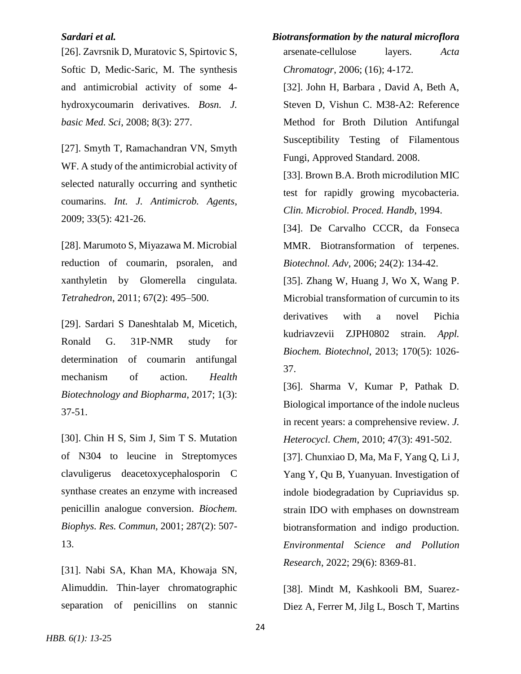[26]. Zavrsnik D, Muratovic S, Spirtovic S, Softic D, Medic-Saric, M. The synthesis and antimicrobial activity of some 4 hydroxycoumarin derivatives. *Bosn. J. basic Med. Sci*, 2008; 8(3): 277.

[27]. Smyth T, Ramachandran VN, Smyth WF. A study of the antimicrobial activity of selected naturally occurring and synthetic coumarins. *Int. J. Antimicrob. Agents*, 2009; 33(5): 421-26.

[28]. Marumoto S, Miyazawa M. Microbial reduction of coumarin, psoralen, and xanthyletin by Glomerella cingulata. *Tetrahedron*, 2011; 67(2): 495–500.

[29]. Sardari S Daneshtalab M, Micetich, Ronald G. 31P-NMR study for determination of coumarin antifungal mechanism of action. *Health Biotechnology and Biopharma*, 2017; 1(3): 37-51.

[30]. Chin H S, Sim J, Sim T S. Mutation of N304 to leucine in Streptomyces clavuligerus deacetoxycephalosporin C synthase creates an enzyme with increased penicillin analogue conversion. *Biochem. Biophys. Res. Commun,* 2001; 287(2): 507- 13.

[31]. Nabi SA, Khan MA, Khowaja SN, Alimuddin. Thin-layer chromatographic separation of penicillins on stannic

*Sardari et al. Biotransformation by the natural microflora* arsenate-cellulose layers. *Acta Chromatogr*, 2006; (16); 4-172.

> [32]. John H, Barbara , David A, Beth A, Steven D, Vishun C. M38-A2: Reference Method for Broth Dilution Antifungal Susceptibility Testing of Filamentous Fungi, Approved Standard. 2008.

> [33]. Brown B.A. Broth microdilution MIC test for rapidly growing mycobacteria. *Clin. Microbiol. Proced. Handb*, 1994.

> [34]. De Carvalho CCCR, da Fonseca MMR. Biotransformation of terpenes. *Biotechnol. Adv*, 2006; 24(2): 134-42.

> [35]. Zhang W, Huang J, Wo X, Wang P. Microbial transformation of curcumin to its derivatives with a novel Pichia kudriavzevii ZJPH0802 strain. *Appl. Biochem. Biotechnol*, 2013; 170(5): 1026- 37.

> [36]. Sharma V, Kumar P, Pathak D. Biological importance of the indole nucleus in recent years: a comprehensive review. *J. Heterocycl. Chem*, 2010; 47(3): 491-502.

> [37]. Chunxiao D, Ma, Ma F, Yang Q, Li J, Yang Y, Qu B, Yuanyuan. Investigation of indole biodegradation by Cupriavidus sp. strain IDO with emphases on downstream biotransformation and indigo production. *Environmental Science and Pollution Research*, 2022; 29(6): 8369-81.

> [38]. Mindt M, Kashkooli BM, Suarez-Diez A, Ferrer M, Jilg L, Bosch T, Martins